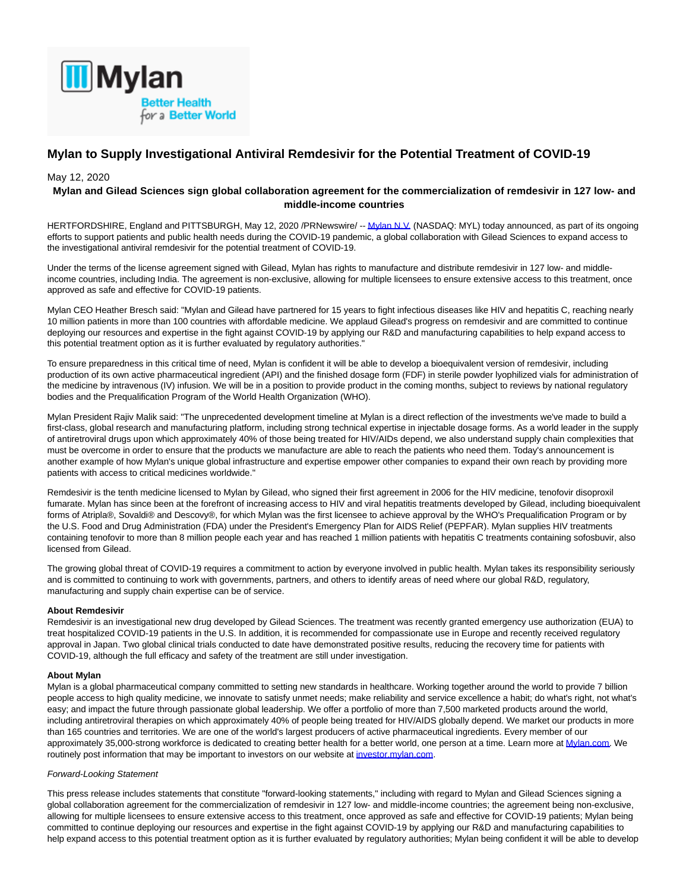

# **Mylan to Supply Investigational Antiviral Remdesivir for the Potential Treatment of COVID-19**

## May 12, 2020

## **Mylan and Gilead Sciences sign global collaboration agreement for the commercialization of remdesivir in 127 low- and middle-income countries**

HERTFORDSHIRE, England and PITTSBURGH, May 12, 2020 /PRNewswire/ -[- Mylan N.V. \(](https://c212.net/c/link/?t=0&l=en&o=2802189-1&h=1944849350&u=https%3A%2F%2Fc212.net%2Fc%2Flink%2F%3Ft%3D0%26l%3Den%26o%3D2745990-1%26h%3D4026027611%26u%3Dhttp%253A%252F%252Fwww.mylan.com%252F%26a%3DMylan%2BN.V.&a=Mylan+N.V.)NASDAQ: MYL) today announced, as part of its ongoing efforts to support patients and public health needs during the COVID-19 pandemic, a global collaboration with Gilead Sciences to expand access to the investigational antiviral remdesivir for the potential treatment of COVID-19.

Under the terms of the license agreement signed with Gilead, Mylan has rights to manufacture and distribute remdesivir in 127 low- and middleincome countries, including India. The agreement is non-exclusive, allowing for multiple licensees to ensure extensive access to this treatment, once approved as safe and effective for COVID-19 patients.

Mylan CEO Heather Bresch said: "Mylan and Gilead have partnered for 15 years to fight infectious diseases like HIV and hepatitis C, reaching nearly 10 million patients in more than 100 countries with affordable medicine. We applaud Gilead's progress on remdesivir and are committed to continue deploying our resources and expertise in the fight against COVID-19 by applying our R&D and manufacturing capabilities to help expand access to this potential treatment option as it is further evaluated by regulatory authorities."

To ensure preparedness in this critical time of need, Mylan is confident it will be able to develop a bioequivalent version of remdesivir, including production of its own active pharmaceutical ingredient (API) and the finished dosage form (FDF) in sterile powder lyophilized vials for administration of the medicine by intravenous (IV) infusion. We will be in a position to provide product in the coming months, subject to reviews by national regulatory bodies and the Prequalification Program of the World Health Organization (WHO).

Mylan President Rajiv Malik said: "The unprecedented development timeline at Mylan is a direct reflection of the investments we've made to build a first-class, global research and manufacturing platform, including strong technical expertise in injectable dosage forms. As a world leader in the supply of antiretroviral drugs upon which approximately 40% of those being treated for HIV/AIDs depend, we also understand supply chain complexities that must be overcome in order to ensure that the products we manufacture are able to reach the patients who need them. Today's announcement is another example of how Mylan's unique global infrastructure and expertise empower other companies to expand their own reach by providing more patients with access to critical medicines worldwide."

Remdesivir is the tenth medicine licensed to Mylan by Gilead, who signed their first agreement in 2006 for the HIV medicine, tenofovir disoproxil fumarate. Mylan has since been at the forefront of increasing access to HIV and viral hepatitis treatments developed by Gilead, including bioequivalent forms of Atripla®, Sovaldi® and Descovy®, for which Mylan was the first licensee to achieve approval by the WHO's Prequalification Program or by the U.S. Food and Drug Administration (FDA) under the President's Emergency Plan for AIDS Relief (PEPFAR). Mylan supplies HIV treatments containing tenofovir to more than 8 million people each year and has reached 1 million patients with hepatitis C treatments containing sofosbuvir, also licensed from Gilead.

The growing global threat of COVID-19 requires a commitment to action by everyone involved in public health. Mylan takes its responsibility seriously and is committed to continuing to work with governments, partners, and others to identify areas of need where our global R&D, regulatory, manufacturing and supply chain expertise can be of service.

### **About Remdesivir**

Remdesivir is an investigational new drug developed by Gilead Sciences. The treatment was recently granted emergency use authorization (EUA) to treat hospitalized COVID-19 patients in the U.S. In addition, it is recommended for compassionate use in Europe and recently received regulatory approval in Japan. Two global clinical trials conducted to date have demonstrated positive results, reducing the recovery time for patients with COVID-19, although the full efficacy and safety of the treatment are still under investigation.

### **About Mylan**

Mylan is a global pharmaceutical company committed to setting new standards in healthcare. Working together around the world to provide 7 billion people access to high quality medicine, we innovate to satisfy unmet needs; make reliability and service excellence a habit; do what's right, not what's easy; and impact the future through passionate global leadership. We offer a portfolio of more than 7,500 marketed products around the world, including antiretroviral therapies on which approximately 40% of people being treated for HIV/AIDS globally depend. We market our products in more than 165 countries and territories. We are one of the world's largest producers of active pharmaceutical ingredients. Every member of our approximately 35,000-strong workforce is dedicated to creating better health for a better world, one person at a time. Learn more at [Mylan.com.](https://c212.net/c/link/?t=0&l=en&o=2802189-1&h=1718843744&u=http%3A%2F%2Fwww.mylan.com%2F&a=Mylan.com) We routinely post information that may be important to investors on our website at investor mylan.com.

#### Forward-Looking Statement

This press release includes statements that constitute "forward-looking statements," including with regard to Mylan and Gilead Sciences signing a global collaboration agreement for the commercialization of remdesivir in 127 low- and middle-income countries; the agreement being non-exclusive, allowing for multiple licensees to ensure extensive access to this treatment, once approved as safe and effective for COVID-19 patients; Mylan being committed to continue deploying our resources and expertise in the fight against COVID-19 by applying our R&D and manufacturing capabilities to help expand access to this potential treatment option as it is further evaluated by regulatory authorities; Mylan being confident it will be able to develop